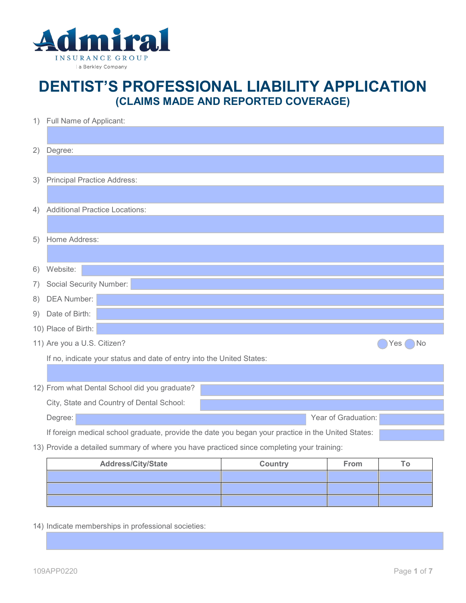

## **DENTIST'S PROFESSIONAL LIABILITY APPLICATION (CLAIMS MADE AND REPORTED COVERAGE)**

| Degree:<br>2)                                                                                      |    |  |  |  |
|----------------------------------------------------------------------------------------------------|----|--|--|--|
|                                                                                                    |    |  |  |  |
| <b>Principal Practice Address:</b><br>3)                                                           |    |  |  |  |
|                                                                                                    |    |  |  |  |
| <b>Additional Practice Locations:</b><br>4)                                                        |    |  |  |  |
|                                                                                                    |    |  |  |  |
| Home Address:<br>5)                                                                                |    |  |  |  |
|                                                                                                    |    |  |  |  |
| Website:<br>6)                                                                                     |    |  |  |  |
| <b>Social Security Number:</b><br>7)                                                               |    |  |  |  |
| <b>DEA Number:</b><br>8)                                                                           |    |  |  |  |
| Date of Birth:<br>9)                                                                               |    |  |  |  |
| 10) Place of Birth:                                                                                |    |  |  |  |
| 11) Are you a U.S. Citizen?<br><b>Yes</b>                                                          | No |  |  |  |
| If no, indicate your status and date of entry into the United States:                              |    |  |  |  |
|                                                                                                    |    |  |  |  |
| 12) From what Dental School did you graduate?                                                      |    |  |  |  |
| City, State and Country of Dental School:                                                          |    |  |  |  |
| Year of Graduation:<br>Degree:                                                                     |    |  |  |  |
| If foreign medical school graduate, provide the date you began your practice in the United States: |    |  |  |  |
| 13) Provide a detailed summary of where you have practiced since completing your training:         |    |  |  |  |

| <b>Address/City/State</b> | Country | From |  |
|---------------------------|---------|------|--|
|                           |         |      |  |
|                           |         |      |  |
|                           |         |      |  |

14) Indicate memberships in professional societies: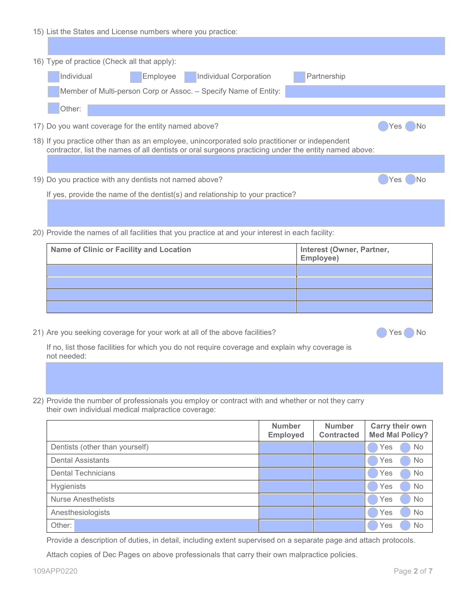| 15) List the States and License numbers where you practice:                                                                                                                                            |  |  |  |  |
|--------------------------------------------------------------------------------------------------------------------------------------------------------------------------------------------------------|--|--|--|--|
|                                                                                                                                                                                                        |  |  |  |  |
| 16) Type of practice (Check all that apply):                                                                                                                                                           |  |  |  |  |
| Individual<br>Individual Corporation<br>Partnership<br>Employee                                                                                                                                        |  |  |  |  |
| Member of Multi-person Corp or Assoc. - Specify Name of Entity:                                                                                                                                        |  |  |  |  |
| Other:                                                                                                                                                                                                 |  |  |  |  |
| 17) Do you want coverage for the entity named above?<br>)No<br>Yes                                                                                                                                     |  |  |  |  |
| 18) If you practice other than as an employee, unincorporated solo practitioner or independent<br>contractor, list the names of all dentists or oral surgeons practicing under the entity named above: |  |  |  |  |
|                                                                                                                                                                                                        |  |  |  |  |
| 19) Do you practice with any dentists not named above?<br>۱No<br>Yes.                                                                                                                                  |  |  |  |  |
| If yes, provide the name of the dentist(s) and relationship to your practice?                                                                                                                          |  |  |  |  |
|                                                                                                                                                                                                        |  |  |  |  |
| 20) Provide the names of all facilities that you practice at and your interest in each facility:                                                                                                       |  |  |  |  |
| Interest (Owner, Partner,<br>Name of Clinic or Facility and Location                                                                                                                                   |  |  |  |  |

| <b>Name of Clinic or Facility and Location</b> | <b>Interest (Owner, Partner,</b><br>Employee) |
|------------------------------------------------|-----------------------------------------------|
|                                                |                                               |
|                                                |                                               |
|                                                |                                               |
|                                                |                                               |

21) Are you seeking coverage for your work at all of the above facilities? <br>
No

If no, list those facilities for which you do not require coverage and explain why coverage is not needed:

22) Provide the number of professionals you employ or contract with and whether or not they carry their own individual medical malpractice coverage:

|                                | <b>Number</b><br><b>Employed</b> | <b>Number</b><br><b>Contracted</b> | Carry their own<br><b>Med Mal Policy?</b> |
|--------------------------------|----------------------------------|------------------------------------|-------------------------------------------|
| Dentists (other than yourself) |                                  |                                    | Yes<br><b>No</b>                          |
| <b>Dental Assistants</b>       |                                  |                                    | <b>No</b><br>Yes                          |
| <b>Dental Technicians</b>      |                                  |                                    | No<br>Yes                                 |
| <b>Hygienists</b>              |                                  |                                    | <b>No</b><br>Yes                          |
| Nurse Anesthetists             |                                  |                                    | No<br>Yes                                 |
| Anesthesiologists              |                                  |                                    | No<br>Yes                                 |
| Other:                         |                                  |                                    | No<br>Yes                                 |

Provide a description of duties, in detail, including extent supervised on a separate page and attach protocols.

Attach copies of Dec Pages on above professionals that carry their own malpractice policies.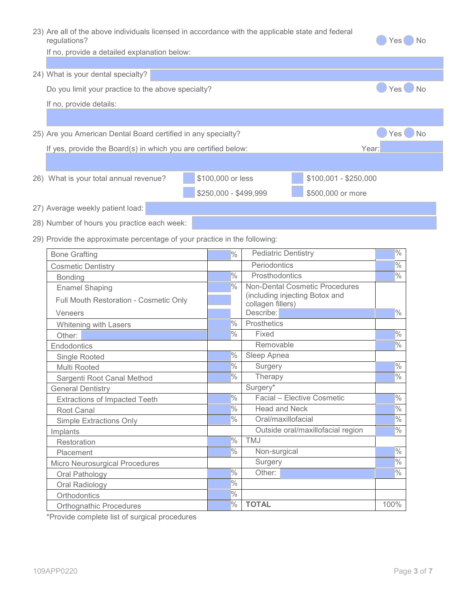| 23) Are all of the above individuals licensed in accordance with the applicable state and federal<br>regulations? |                       |                                                     |                                       | No<br>Yes         |
|-------------------------------------------------------------------------------------------------------------------|-----------------------|-----------------------------------------------------|---------------------------------------|-------------------|
| If no, provide a detailed explanation below:                                                                      |                       |                                                     |                                       |                   |
|                                                                                                                   |                       |                                                     |                                       |                   |
| 24) What is your dental specialty?                                                                                |                       |                                                     |                                       |                   |
| Do you limit your practice to the above specialty?                                                                |                       |                                                     |                                       | $Yes \bigcirc$ No |
| If no, provide details:                                                                                           |                       |                                                     |                                       |                   |
|                                                                                                                   |                       |                                                     |                                       |                   |
| 25) Are you American Dental Board certified in any specialty?                                                     |                       |                                                     |                                       | No<br>Yes         |
| If yes, provide the Board(s) in which you are certified below:                                                    |                       |                                                     | Year:                                 |                   |
|                                                                                                                   |                       |                                                     |                                       |                   |
|                                                                                                                   |                       |                                                     |                                       |                   |
| 26) What is your total annual revenue?                                                                            | \$100,000 or less     |                                                     | $$100,001 - $250,000$                 |                   |
|                                                                                                                   | \$250,000 - \$499,999 |                                                     | \$500,000 or more                     |                   |
| 27) Average weekly patient load:                                                                                  |                       |                                                     |                                       |                   |
| 28) Number of hours you practice each week:                                                                       |                       |                                                     |                                       |                   |
|                                                                                                                   |                       |                                                     |                                       |                   |
| 29) Provide the approximate percentage of your practice in the following:                                         |                       |                                                     |                                       |                   |
| <b>Bone Grafting</b>                                                                                              | $\frac{9}{6}$         | <b>Pediatric Dentistry</b>                          |                                       | $\frac{1}{2}$     |
| <b>Cosmetic Dentistry</b>                                                                                         |                       | Periodontics                                        |                                       | $\frac{9}{6}$     |
| Bonding                                                                                                           | $\frac{1}{2}$         | Prosthodontics                                      |                                       | $\frac{1}{2}$     |
| <b>Enamel Shaping</b>                                                                                             | $\frac{1}{2}$         |                                                     | <b>Non-Dental Cosmetic Procedures</b> |                   |
| Full Mouth Restoration - Cosmetic Only                                                                            |                       | (including injecting Botox and<br>collagen fillers) |                                       |                   |
| Veneers                                                                                                           |                       | Describe:                                           |                                       | $\frac{9}{6}$     |
| Whitening with Lasers                                                                                             | $\frac{9}{6}$         | Prosthetics                                         |                                       |                   |
| Other:                                                                                                            | $\frac{9}{6}$         | Fixed                                               |                                       | $\frac{9}{6}$     |
| Endodontics                                                                                                       |                       | Removable                                           |                                       | $\frac{1}{2}$     |
| Single Rooted                                                                                                     | $\frac{9}{6}$         | Sleep Apnea                                         |                                       |                   |
| Multi Rooted                                                                                                      | $\frac{9}{6}$         | Surgery                                             |                                       | $\frac{9}{6}$     |
| Sargenti Root Canal Method                                                                                        | $\frac{1}{2}$         | Therapy                                             |                                       | $\frac{9}{6}$     |
| <b>General Dentistry</b>                                                                                          |                       | Surgery*                                            |                                       |                   |
| <b>Extractions of Impacted Teeth</b>                                                                              | $\frac{1}{2}$         |                                                     | Facial - Elective Cosmetic            | $\sqrt{2}$        |
| Root Canal                                                                                                        | $\frac{9}{6}$         | <b>Head and Neck</b>                                |                                       | $\frac{1}{2}$     |
| Simple Extractions Only                                                                                           | $\frac{1}{2}$         | Oral/maxillofacial                                  |                                       | $\frac{0}{0}$     |
| Implants                                                                                                          |                       |                                                     | Outside oral/maxillofacial region     | $\frac{0}{0}$     |
| Restoration                                                                                                       | $\frac{1}{2}$         | TMJ                                                 |                                       |                   |
| Placement                                                                                                         | $\frac{9}{6}$         | Non-surgical                                        |                                       | $\frac{9}{6}$     |
| Micro Neurosurgical Procedures                                                                                    |                       | Surgery                                             |                                       | $\sqrt{2}$        |
| Oral Pathology                                                                                                    | $\frac{1}{2}$         | Other:                                              |                                       | $\frac{1}{2}$     |
| Oral Radiology                                                                                                    | $\frac{1}{2}$         |                                                     |                                       |                   |
| Orthodontics                                                                                                      | $\frac{9}{6}$         |                                                     |                                       |                   |

**Orthognathic Procedures 100% TOTAL** 100% \*Provide complete list of surgical procedures

Orthodontics <sup>%</sup><br>Orthognathic Procedures <sup>%</sup>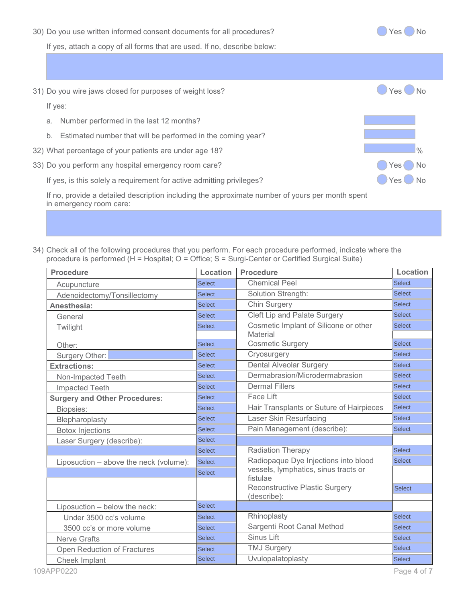30) Do you use written informed consent documents for all procedures? <br>
No

If yes, attach a copy of all forms that are used. If no, describe below:

31) Do you wire jaws closed for purposes of weight loss? If yes:

- a. Number performed in the last 12 months?
- b. Estimated number that will be performed in the coming year?
- 32) What percentage of your patients are under age 18? May be a set of the set of the set of the set of the set of the set of the set of the set of the set of the set of the set of the set of the set of the set of the set
- 33) Do you perform any hospital emergency room care? Contract the Contract of the Ves No

If yes, is this solely a requirement for active admitting privileges?  $\Box$  Yes No

If no, provide a detailed description including the approximate number of yours per month spent in emergency room care:

34) Check all of the following procedures that you perform. For each procedure performed, indicate where the procedure is performed (H = Hospital; O = Office; S = Surgi-Center or Certified Surgical Suite)

| <b>Procedure</b>                       | <b>Location</b> | <b>Procedure</b>                                     | Location      |
|----------------------------------------|-----------------|------------------------------------------------------|---------------|
| Acupuncture                            | <b>Select</b>   | <b>Chemical Peel</b>                                 | <b>Select</b> |
| Adenoidectomy/Tonsillectomy            | <b>Select</b>   | Solution Strength:                                   | <b>Select</b> |
| Anesthesia:                            | <b>Select</b>   | <b>Chin Surgery</b>                                  | <b>Select</b> |
| General                                | <b>Select</b>   | Cleft Lip and Palate Surgery                         | <b>Select</b> |
| Twilight                               | <b>Select</b>   | Cosmetic Implant of Silicone or other<br>Material    | <b>Select</b> |
| Other:                                 | Select          | <b>Cosmetic Surgery</b>                              | Select        |
| Surgery Other:                         | <b>Select</b>   | Cryosurgery                                          | <b>Select</b> |
| <b>Extractions:</b>                    | <b>Select</b>   | <b>Dental Alveolar Surgery</b>                       | <b>Select</b> |
| Non-Impacted Teeth                     | Select          | Dermabrasion/Microdermabrasion                       | <b>Select</b> |
| Impacted Teeth                         | <b>Select</b>   | <b>Dermal Fillers</b>                                | <b>Select</b> |
| <b>Surgery and Other Procedures:</b>   | <b>Select</b>   | Face Lift                                            | <b>Select</b> |
| Biopsies:                              | <b>Select</b>   | Hair Transplants or Suture of Hairpieces             | <b>Select</b> |
| Blepharoplasty                         | <b>Select</b>   | <b>Laser Skin Resurfacing</b>                        | <b>Select</b> |
| <b>Botox Injections</b>                | Select          | Pain Management (describe):                          | <b>Select</b> |
| Laser Surgery (describe):              | <b>Select</b>   |                                                      |               |
|                                        | Select          | <b>Radiation Therapy</b>                             | <b>Select</b> |
| Liposuction - above the neck (volume): | <b>Select</b>   | Radiopaque Dye Injections into blood                 | <b>Select</b> |
|                                        | <b>Select</b>   | vessels, lymphatics, sinus tracts or<br>fistulae     |               |
|                                        |                 | <b>Reconstructive Plastic Surgery</b><br>(describe): | Select        |
| Liposuction - below the neck:          | Select          |                                                      |               |
| Under 3500 cc's volume                 | <b>Select</b>   | Rhinoplasty                                          | <b>Select</b> |
| 3500 cc's or more volume               | <b>Select</b>   | Sargenti Root Canal Method                           | <b>Select</b> |
| <b>Nerve Grafts</b>                    | Select          | <b>Sinus Lift</b>                                    | <b>Select</b> |
| Open Reduction of Fractures            | <b>Select</b>   | <b>TMJ Surgery</b>                                   | <b>Select</b> |
| Cheek Implant                          | <b>Select</b>   | Uvulopalatoplasty                                    | <b>Select</b> |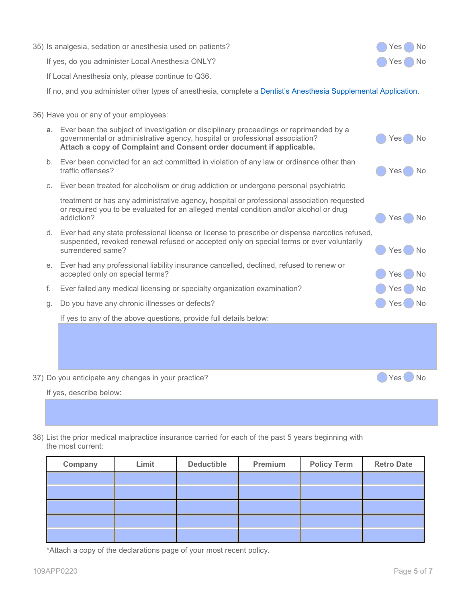|    | 35) Is analgesia, sedation or anesthesia used on patients?                                                                                                                                                                                        | No<br>Yes          |
|----|---------------------------------------------------------------------------------------------------------------------------------------------------------------------------------------------------------------------------------------------------|--------------------|
|    | If yes, do you administer Local Anesthesia ONLY?                                                                                                                                                                                                  | No.<br>Yes         |
|    | If Local Anesthesia only, please continue to Q36.                                                                                                                                                                                                 |                    |
|    | If no, and you administer other types of anesthesia, complete a Dentist's Anesthesia Supplemental Application.                                                                                                                                    |                    |
|    | 36) Have you or any of your employees:                                                                                                                                                                                                            |                    |
|    | a. Ever been the subject of investigation or disciplinary proceedings or reprimanded by a<br>governmental or administrative agency, hospital or professional association?<br>Attach a copy of Complaint and Consent order document if applicable. | No<br>Yes          |
|    | b. Ever been convicted for an act committed in violation of any law or ordinance other than<br>traffic offenses?                                                                                                                                  | Yes<br>No          |
| C. | Ever been treated for alcoholism or drug addiction or undergone personal psychiatric                                                                                                                                                              |                    |
|    | treatment or has any administrative agency, hospital or professional association requested<br>or required you to be evaluated for an alleged mental condition and/or alcohol or drug<br>addiction?                                                | Yes<br>No.         |
|    | d. Ever had any state professional license or license to prescribe or dispense narcotics refused,<br>suspended, revoked renewal refused or accepted only on special terms or ever voluntarily<br>surrendered same?                                | No<br>Yes          |
| е. | Ever had any professional liability insurance cancelled, declined, refused to renew or<br>accepted only on special terms?                                                                                                                         | No<br>Yes          |
| f. | Ever failed any medical licensing or specialty organization examination?                                                                                                                                                                          | No<br>Yes          |
| g. | Do you have any chronic illnesses or defects?                                                                                                                                                                                                     | Yes(<br><b>No</b>  |
|    | If yes to any of the above questions, provide full details below:                                                                                                                                                                                 |                    |
|    |                                                                                                                                                                                                                                                   |                    |
|    |                                                                                                                                                                                                                                                   |                    |
|    |                                                                                                                                                                                                                                                   |                    |
|    | 37) Do you anticipate any changes in your practice?                                                                                                                                                                                               | Yes()<br><b>No</b> |
|    | If yes, describe below:                                                                                                                                                                                                                           |                    |
|    |                                                                                                                                                                                                                                                   |                    |

38) List the prior medical malpractice insurance carried for each of the past 5 years beginning with the most current:

| Company | Limit | <b>Deductible</b> | Premium | <b>Policy Term</b> | <b>Retro Date</b> |
|---------|-------|-------------------|---------|--------------------|-------------------|
|         |       |                   |         |                    |                   |
|         |       |                   |         |                    |                   |
|         |       |                   |         |                    |                   |
|         |       |                   |         |                    |                   |
|         |       |                   |         |                    |                   |

\*Attach a copy of the declarations page of your most recent policy.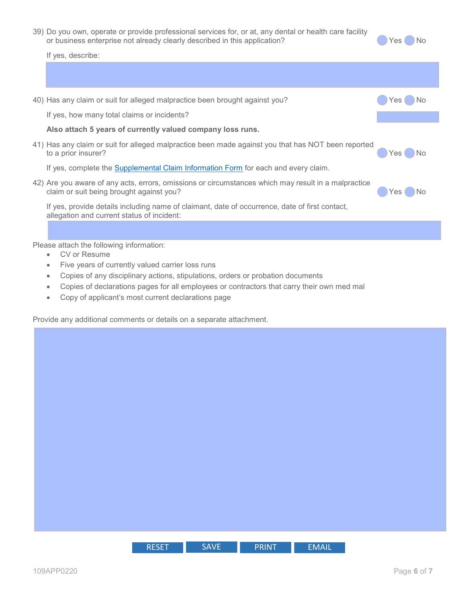39) Do you own, operate or provide professional services for, or at, any dental or health care facility or business enterprise not already clearly described in this application? Ves No

If yes, describe:

| 40) Has any claim or suit for alleged malpractice been brought against you?                                                                     | Yes        |
|-------------------------------------------------------------------------------------------------------------------------------------------------|------------|
| If yes, how many total claims or incidents?                                                                                                     |            |
| Also attach 5 years of currently valued company loss runs.                                                                                      |            |
| 41) Has any claim or suit for alleged malpractice been made against you that has NOT been reported<br>to a prior insurer?                       | 'No<br>Yes |
| If yes, complete the Supplemental Claim Information Form for each and every claim.                                                              |            |
| 42) Are you aware of any acts, errors, omissions or circumstances which may result in a malpractice<br>claim or suit being brought against you? | Yes.       |
| If yes, provide details including name of claimant, date of occurrence, date of first contact,<br>allegation and current status of incident:    |            |
|                                                                                                                                                 |            |
| Please attach the following information:                                                                                                        |            |

- CV or Resume
- Five years of currently valued carrier loss runs
- Copies of any disciplinary actions, stipulations, orders or probation documents
- Copies of declarations pages for all employees or contractors that carry their own med mal
- Copy of applicant's most current declarations page

Provide any additional comments or details on a separate attachment.

| <b>RESET</b> | CAVIE<br>w<br>v=<br>. . | <b>PRINT</b> | – I V I <i>I</i> |
|--------------|-------------------------|--------------|------------------|